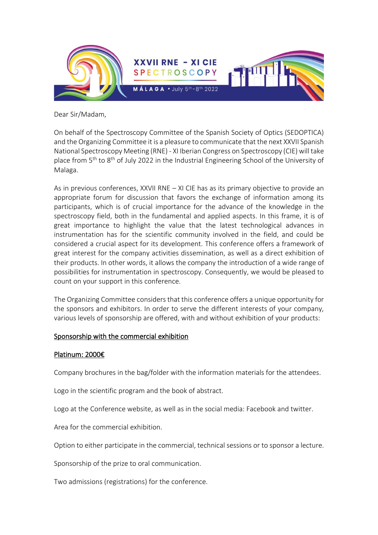

Dear Sir/Madam,

On behalf of the Spectroscopy Committee of the Spanish Society of Optics (SEDOPTICA) and the Organizing Committee it is a pleasure to communicate that the next XXVII Spanish National Spectroscopy Meeting (RNE) - XI Iberian Congress on Spectroscopy (CIE) will take place from 5<sup>th</sup> to 8<sup>th</sup> of July 2022 in the Industrial Engineering School of the University of Malaga.

As in previous conferences, XXVII RNE – XI CIE has as its primary objective to provide an appropriate forum for discussion that favors the exchange of information among its participants, which is of crucial importance for the advance of the knowledge in the spectroscopy field, both in the fundamental and applied aspects. In this frame, it is of great importance to highlight the value that the latest technological advances in instrumentation has for the scientific community involved in the field, and could be considered a crucial aspect for its development. This conference offers a framework of great interest for the company activities dissemination, as well as a direct exhibition of their products. In other words, it allows the company the introduction of a wide range of possibilities for instrumentation in spectroscopy. Consequently, we would be pleased to count on your support in this conference.

The Organizing Committee considers that this conference offers a unique opportunity for the sponsors and exhibitors. In order to serve the different interests of your company, various levels of sponsorship are offered, with and without exhibition of your products:

# Sponsorship with the commercial exhibition

# Platinum: 2000€

Company brochures in the bag/folder with the information materials for the attendees.

Logo in the scientific program and the book of abstract.

Logo at the Conference website, as well as in the social media: Facebook and twitter.

Area for the commercial exhibition.

Option to either participate in the commercial, technical sessions or to sponsor a lecture.

Sponsorship of the prize to oral communication.

Two admissions (registrations) for the conference.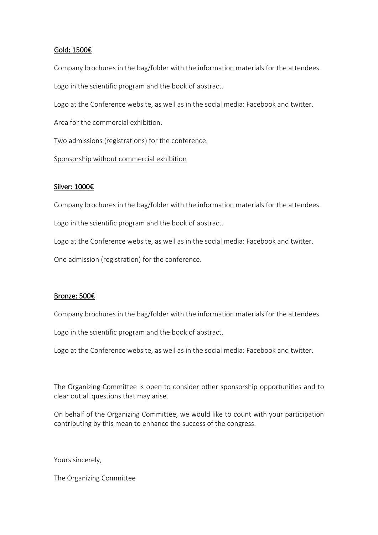### Gold: 1500€

Company brochures in the bag/folder with the information materials for the attendees.

Logo in the scientific program and the book of abstract.

Logo at the Conference website, as well as in the social media: Facebook and twitter.

Area for the commercial exhibition.

Two admissions (registrations) for the conference.

## Sponsorship without commercial exhibition

## Silver: 1000€

Company brochures in the bag/folder with the information materials for the attendees.

Logo in the scientific program and the book of abstract.

Logo at the Conference website, as well as in the social media: Facebook and twitter.

One admission (registration) for the conference.

# Bronze: 500€

Company brochures in the bag/folder with the information materials for the attendees.

Logo in the scientific program and the book of abstract.

Logo at the Conference website, as well as in the social media: Facebook and twitter.

The Organizing Committee is open to consider other sponsorship opportunities and to clear out all questions that may arise.

On behalf of the Organizing Committee, we would like to count with your participation contributing by this mean to enhance the success of the congress.

Yours sincerely,

The Organizing Committee